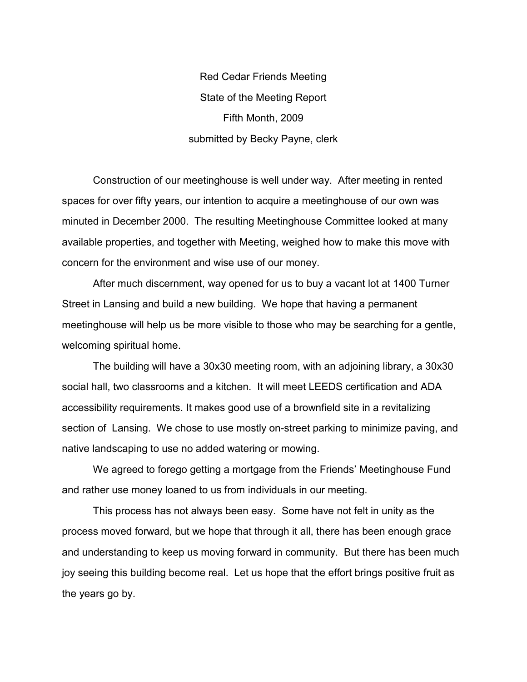Red Cedar Friends Meeting State of the Meeting Report Fifth Month, 2009 submitted by Becky Payne, clerk

 Construction of our meetinghouse is well under way. After meeting in rented spaces for over fifty years, our intention to acquire a meetinghouse of our own was minuted in December 2000. The resulting Meetinghouse Committee looked at many available properties, and together with Meeting, weighed how to make this move with concern for the environment and wise use of our money.

 After much discernment, way opened for us to buy a vacant lot at 1400 Turner Street in Lansing and build a new building. We hope that having a permanent meetinghouse will help us be more visible to those who may be searching for a gentle, welcoming spiritual home.

 The building will have a 30x30 meeting room, with an adjoining library, a 30x30 social hall, two classrooms and a kitchen. It will meet LEEDS certification and ADA accessibility requirements. It makes good use of a brownfield site in a revitalizing section of Lansing. We chose to use mostly on-street parking to minimize paving, and native landscaping to use no added watering or mowing.

 We agreed to forego getting a mortgage from the Friends' Meetinghouse Fund and rather use money loaned to us from individuals in our meeting.

 This process has not always been easy. Some have not felt in unity as the process moved forward, but we hope that through it all, there has been enough grace and understanding to keep us moving forward in community. But there has been much joy seeing this building become real. Let us hope that the effort brings positive fruit as the years go by.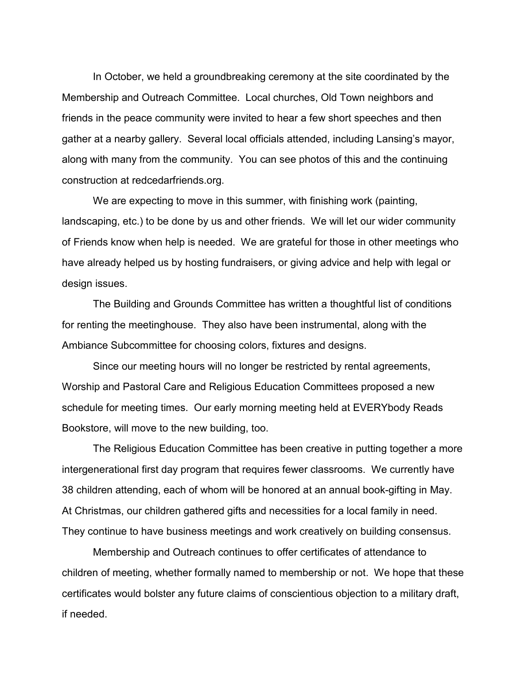In October, we held a groundbreaking ceremony at the site coordinated by the Membership and Outreach Committee. Local churches, Old Town neighbors and friends in the peace community were invited to hear a few short speeches and then gather at a nearby gallery. Several local officials attended, including Lansing's mayor, along with many from the community. You can see photos of this and the continuing construction at redcedarfriends.org.

 We are expecting to move in this summer, with finishing work (painting, landscaping, etc.) to be done by us and other friends. We will let our wider community of Friends know when help is needed. We are grateful for those in other meetings who have already helped us by hosting fundraisers, or giving advice and help with legal or design issues.

 The Building and Grounds Committee has written a thoughtful list of conditions for renting the meetinghouse. They also have been instrumental, along with the Ambiance Subcommittee for choosing colors, fixtures and designs.

 Since our meeting hours will no longer be restricted by rental agreements, Worship and Pastoral Care and Religious Education Committees proposed a new schedule for meeting times. Our early morning meeting held at EVERYbody Reads Bookstore, will move to the new building, too.

 The Religious Education Committee has been creative in putting together a more intergenerational first day program that requires fewer classrooms. We currently have 38 children attending, each of whom will be honored at an annual book-gifting in May. At Christmas, our children gathered gifts and necessities for a local family in need. They continue to have business meetings and work creatively on building consensus.

 Membership and Outreach continues to offer certificates of attendance to children of meeting, whether formally named to membership or not. We hope that these certificates would bolster any future claims of conscientious objection to a military draft, if needed.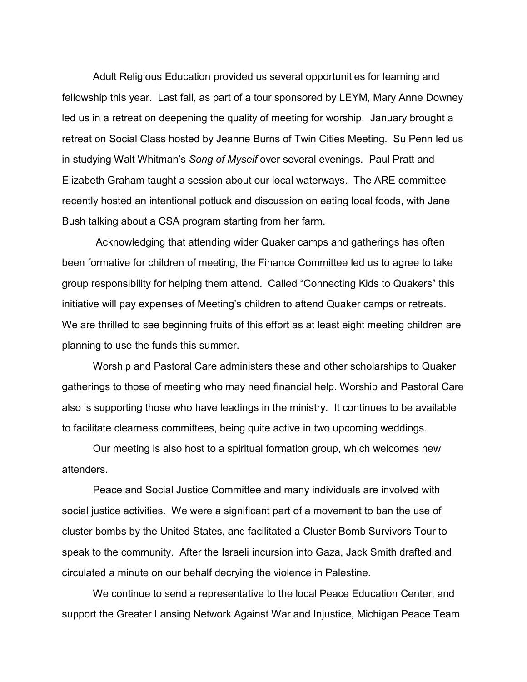Adult Religious Education provided us several opportunities for learning and fellowship this year. Last fall, as part of a tour sponsored by LEYM, Mary Anne Downey led us in a retreat on deepening the quality of meeting for worship. January brought a retreat on Social Class hosted by Jeanne Burns of Twin Cities Meeting. Su Penn led us in studying Walt Whitman's *Song of Myself* over several evenings. Paul Pratt and Elizabeth Graham taught a session about our local waterways. The ARE committee recently hosted an intentional potluck and discussion on eating local foods, with Jane Bush talking about a CSA program starting from her farm.

 Acknowledging that attending wider Quaker camps and gatherings has often been formative for children of meeting, the Finance Committee led us to agree to take group responsibility for helping them attend. Called "Connecting Kids to Quakers" this initiative will pay expenses of Meeting's children to attend Quaker camps or retreats. We are thrilled to see beginning fruits of this effort as at least eight meeting children are planning to use the funds this summer.

 Worship and Pastoral Care administers these and other scholarships to Quaker gatherings to those of meeting who may need financial help. Worship and Pastoral Care also is supporting those who have leadings in the ministry. It continues to be available to facilitate clearness committees, being quite active in two upcoming weddings.

 Our meeting is also host to a spiritual formation group, which welcomes new attenders.

 Peace and Social Justice Committee and many individuals are involved with social justice activities. We were a significant part of a movement to ban the use of cluster bombs by the United States, and facilitated a Cluster Bomb Survivors Tour to speak to the community. After the Israeli incursion into Gaza, Jack Smith drafted and circulated a minute on our behalf decrying the violence in Palestine.

 We continue to send a representative to the local Peace Education Center, and support the Greater Lansing Network Against War and Injustice, Michigan Peace Team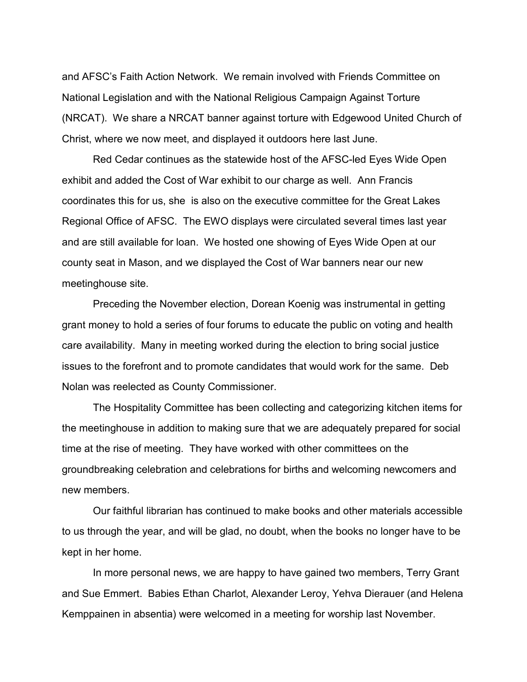and AFSC's Faith Action Network. We remain involved with Friends Committee on National Legislation and with the National Religious Campaign Against Torture (NRCAT). We share a NRCAT banner against torture with Edgewood United Church of Christ, where we now meet, and displayed it outdoors here last June.

 Red Cedar continues as the statewide host of the AFSC-led Eyes Wide Open exhibit and added the Cost of War exhibit to our charge as well. Ann Francis coordinates this for us, she is also on the executive committee for the Great Lakes Regional Office of AFSC. The EWO displays were circulated several times last year and are still available for loan. We hosted one showing of Eyes Wide Open at our county seat in Mason, and we displayed the Cost of War banners near our new meetinghouse site.

 Preceding the November election, Dorean Koenig was instrumental in getting grant money to hold a series of four forums to educate the public on voting and health care availability. Many in meeting worked during the election to bring social justice issues to the forefront and to promote candidates that would work for the same. Deb Nolan was reelected as County Commissioner.

 The Hospitality Committee has been collecting and categorizing kitchen items for the meetinghouse in addition to making sure that we are adequately prepared for social time at the rise of meeting. They have worked with other committees on the groundbreaking celebration and celebrations for births and welcoming newcomers and new members.

 Our faithful librarian has continued to make books and other materials accessible to us through the year, and will be glad, no doubt, when the books no longer have to be kept in her home.

 In more personal news, we are happy to have gained two members, Terry Grant and Sue Emmert. Babies Ethan Charlot, Alexander Leroy, Yehva Dierauer (and Helena Kemppainen in absentia) were welcomed in a meeting for worship last November.